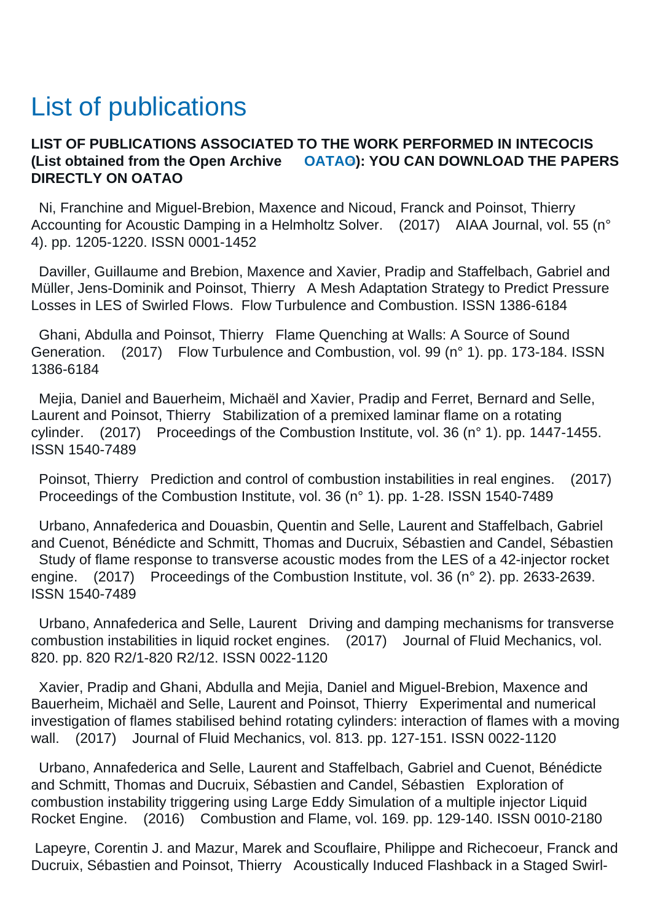## List of publications

## **LIST OF PUBLICATIONS ASSOCIATED TO THE WORK PERFORMED IN INTECOCIS (List obtained from the Open Archive [OATAO\)](http://oatao.univ-toulouse.fr/): YOU CAN DOWNLOAD THE PAPERS DIRECTLY ON OATAO**

 Ni, Franchine and Miguel-Brebion, Maxence and Nicoud, Franck and Poinsot, Thierry Accounting for Acoustic Damping in a Helmholtz Solver. (2017) AIAA Journal, vol. 55 (n° 4). pp. 1205-1220. ISSN 0001-1452

 Daviller, Guillaume and Brebion, Maxence and Xavier, Pradip and Staffelbach, Gabriel and Müller, Jens-Dominik and Poinsot, Thierry A Mesh Adaptation Strategy to Predict Pressure Losses in LES of Swirled Flows. Flow Turbulence and Combustion. ISSN 1386-6184

 Ghani, Abdulla and Poinsot, Thierry Flame Quenching at Walls: A Source of Sound Generation. (2017) Flow Turbulence and Combustion, vol. 99 (n° 1). pp. 173-184. ISSN 1386-6184

 Mejia, Daniel and Bauerheim, Michaël and Xavier, Pradip and Ferret, Bernard and Selle, Laurent and Poinsot, Thierry Stabilization of a premixed laminar flame on a rotating cylinder. (2017) Proceedings of the Combustion Institute, vol. 36 (n° 1). pp. 1447-1455. ISSN 1540-7489

 Poinsot, Thierry Prediction and control of combustion instabilities in real engines. (2017) Proceedings of the Combustion Institute, vol. 36 (n° 1). pp. 1-28. ISSN 1540-7489

 Urbano, Annafederica and Douasbin, Quentin and Selle, Laurent and Staffelbach, Gabriel and Cuenot, Bénédicte and Schmitt, Thomas and Ducruix, Sébastien and Candel, Sébastien Study of flame response to transverse acoustic modes from the LES of a 42-injector rocket engine. (2017) Proceedings of the Combustion Institute, vol. 36 (n° 2). pp. 2633-2639. ISSN 1540-7489

 Urbano, Annafederica and Selle, Laurent Driving and damping mechanisms for transverse combustion instabilities in liquid rocket engines. (2017) Journal of Fluid Mechanics, vol. 820. pp. 820 R2/1-820 R2/12. ISSN 0022-1120

 Xavier, Pradip and Ghani, Abdulla and Mejia, Daniel and Miguel-Brebion, Maxence and Bauerheim, Michaël and Selle, Laurent and Poinsot, Thierry Experimental and numerical investigation of flames stabilised behind rotating cylinders: interaction of flames with a moving wall. (2017) Journal of Fluid Mechanics, vol. 813. pp. 127-151. ISSN 0022-1120

 Urbano, Annafederica and Selle, Laurent and Staffelbach, Gabriel and Cuenot, Bénédicte and Schmitt, Thomas and Ducruix, Sébastien and Candel, Sébastien Exploration of combustion instability triggering using Large Eddy Simulation of a multiple injector Liquid Rocket Engine. (2016) Combustion and Flame, vol. 169. pp. 129-140. ISSN 0010-2180

 Lapeyre, Corentin J. and Mazur, Marek and Scouflaire, Philippe and Richecoeur, Franck and Ducruix, Sébastien and Poinsot, Thierry Acoustically Induced Flashback in a Staged Swirl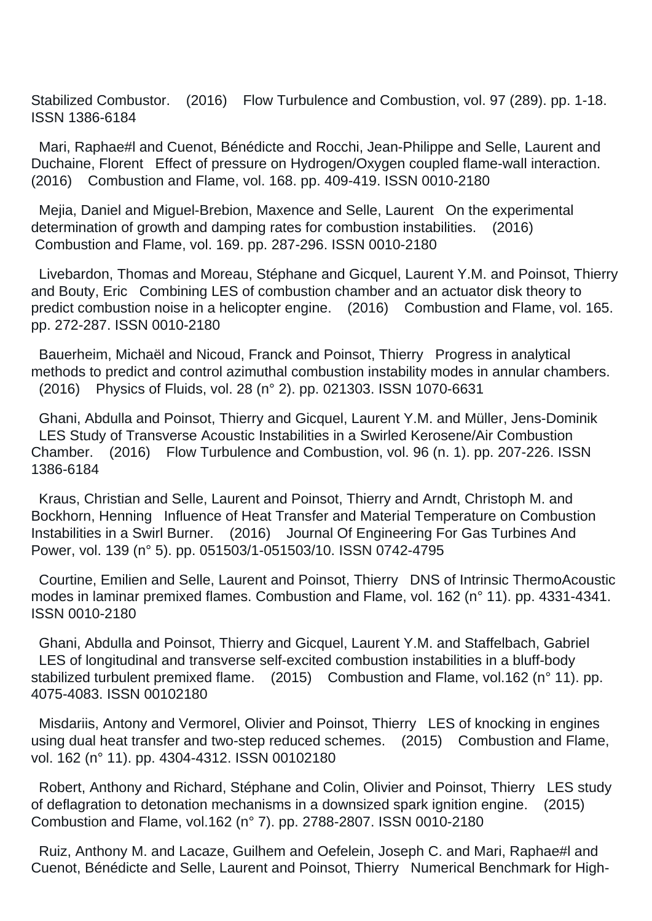Stabilized Combustor. (2016) Flow Turbulence and Combustion, vol. 97 (289). pp. 1-18. ISSN 1386-6184

 Mari, Raphae#l and Cuenot, Bénédicte and Rocchi, Jean-Philippe and Selle, Laurent and Duchaine, Florent Effect of pressure on Hydrogen/Oxygen coupled flame-wall interaction. (2016) Combustion and Flame, vol. 168. pp. 409-419. ISSN 0010-2180

 Mejia, Daniel and Miguel-Brebion, Maxence and Selle, Laurent On the experimental determination of growth and damping rates for combustion instabilities. (2016) Combustion and Flame, vol. 169. pp. 287-296. ISSN 0010-2180

 Livebardon, Thomas and Moreau, Stéphane and Gicquel, Laurent Y.M. and Poinsot, Thierry and Bouty, Eric Combining LES of combustion chamber and an actuator disk theory to predict combustion noise in a helicopter engine. (2016) Combustion and Flame, vol. 165. pp. 272-287. ISSN 0010-2180

 Bauerheim, Michaël and Nicoud, Franck and Poinsot, Thierry Progress in analytical methods to predict and control azimuthal combustion instability modes in annular chambers. (2016) Physics of Fluids, vol. 28 (n° 2). pp. 021303. ISSN 1070-6631

 Ghani, Abdulla and Poinsot, Thierry and Gicquel, Laurent Y.M. and Müller, Jens-Dominik LES Study of Transverse Acoustic Instabilities in a Swirled Kerosene/Air Combustion Chamber. (2016) Flow Turbulence and Combustion, vol. 96 (n. 1). pp. 207-226. ISSN 1386-6184

 Kraus, Christian and Selle, Laurent and Poinsot, Thierry and Arndt, Christoph M. and Bockhorn, Henning Influence of Heat Transfer and Material Temperature on Combustion Instabilities in a Swirl Burner. (2016) Journal Of Engineering For Gas Turbines And Power, vol. 139 (n° 5). pp. 051503/1-051503/10. ISSN 0742-4795

 Courtine, Emilien and Selle, Laurent and Poinsot, Thierry DNS of Intrinsic ThermoAcoustic modes in laminar premixed flames. Combustion and Flame, vol. 162 (n° 11). pp. 4331-4341. ISSN 0010-2180

 Ghani, Abdulla and Poinsot, Thierry and Gicquel, Laurent Y.M. and Staffelbach, Gabriel LES of longitudinal and transverse self-excited combustion instabilities in a bluff-body stabilized turbulent premixed flame. (2015) Combustion and Flame, vol.162 (n° 11). pp. 4075-4083. ISSN 00102180

 Misdariis, Antony and Vermorel, Olivier and Poinsot, Thierry LES of knocking in engines using dual heat transfer and two-step reduced schemes. (2015) Combustion and Flame, vol. 162 (n° 11). pp. 4304-4312. ISSN 00102180

 Robert, Anthony and Richard, Stéphane and Colin, Olivier and Poinsot, Thierry LES study of deflagration to detonation mechanisms in a downsized spark ignition engine. (2015) Combustion and Flame, vol.162 (n° 7). pp. 2788-2807. ISSN 0010-2180

 Ruiz, Anthony M. and Lacaze, Guilhem and Oefelein, Joseph C. and Mari, Raphae#l and Cuenot, Bénédicte and Selle, Laurent and Poinsot, Thierry Numerical Benchmark for High-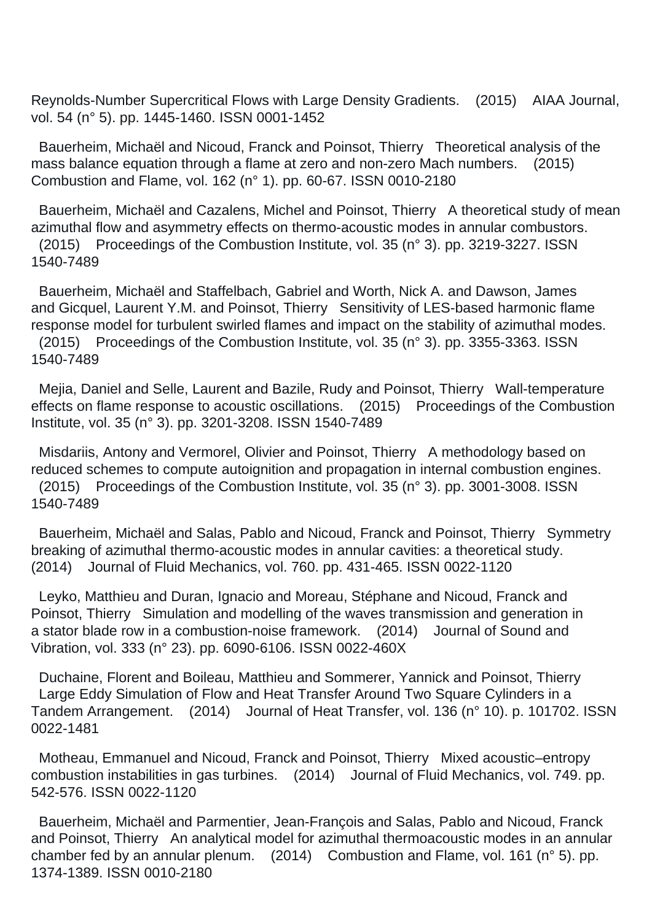Reynolds-Number Supercritical Flows with Large Density Gradients. (2015) AIAA Journal, vol. 54 (n° 5). pp. 1445-1460. ISSN 0001-1452

 Bauerheim, Michaël and Nicoud, Franck and Poinsot, Thierry Theoretical analysis of the mass balance equation through a flame at zero and non-zero Mach numbers. (2015) Combustion and Flame, vol. 162 (n° 1). pp. 60-67. ISSN 0010-2180

 Bauerheim, Michaël and Cazalens, Michel and Poinsot, Thierry A theoretical study of mean azimuthal flow and asymmetry effects on thermo-acoustic modes in annular combustors. (2015) Proceedings of the Combustion Institute, vol. 35 (n° 3). pp. 3219-3227. ISSN 1540-7489

 Bauerheim, Michaël and Staffelbach, Gabriel and Worth, Nick A. and Dawson, James and Gicquel, Laurent Y.M. and Poinsot, Thierry Sensitivity of LES-based harmonic flame response model for turbulent swirled flames and impact on the stability of azimuthal modes. (2015) Proceedings of the Combustion Institute, vol. 35 (n° 3). pp. 3355-3363. ISSN 1540-7489

 Mejia, Daniel and Selle, Laurent and Bazile, Rudy and Poinsot, Thierry Wall-temperature effects on flame response to acoustic oscillations. (2015) Proceedings of the Combustion Institute, vol. 35 (n° 3). pp. 3201-3208. ISSN 1540-7489

 Misdariis, Antony and Vermorel, Olivier and Poinsot, Thierry A methodology based on reduced schemes to compute autoignition and propagation in internal combustion engines. (2015) Proceedings of the Combustion Institute, vol. 35 (n° 3). pp. 3001-3008. ISSN 1540-7489

 Bauerheim, Michaël and Salas, Pablo and Nicoud, Franck and Poinsot, Thierry Symmetry breaking of azimuthal thermo-acoustic modes in annular cavities: a theoretical study. (2014) Journal of Fluid Mechanics, vol. 760. pp. 431-465. ISSN 0022-1120

 Leyko, Matthieu and Duran, Ignacio and Moreau, Stéphane and Nicoud, Franck and Poinsot, Thierry Simulation and modelling of the waves transmission and generation in a stator blade row in a combustion-noise framework. (2014) Journal of Sound and Vibration, vol. 333 (n° 23). pp. 6090-6106. ISSN 0022-460X

 Duchaine, Florent and Boileau, Matthieu and Sommerer, Yannick and Poinsot, Thierry Large Eddy Simulation of Flow and Heat Transfer Around Two Square Cylinders in a Tandem Arrangement. (2014) Journal of Heat Transfer, vol. 136 (n° 10). p. 101702. ISSN 0022-1481

 Motheau, Emmanuel and Nicoud, Franck and Poinsot, Thierry Mixed acoustic–entropy combustion instabilities in gas turbines. (2014) Journal of Fluid Mechanics, vol. 749. pp. 542-576. ISSN 0022-1120

 Bauerheim, Michaël and Parmentier, Jean-François and Salas, Pablo and Nicoud, Franck and Poinsot, Thierry An analytical model for azimuthal thermoacoustic modes in an annular chamber fed by an annular plenum. (2014) Combustion and Flame, vol. 161 (n° 5). pp. 1374-1389. ISSN 0010-2180